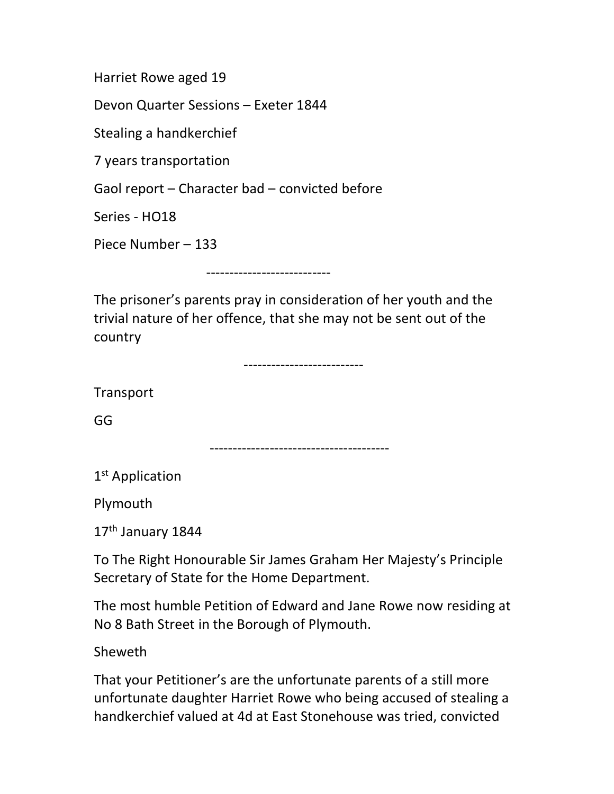Harriet Rowe aged 19

Devon Quarter Sessions – Exeter 1844

Stealing a handkerchief

7 years transportation

Gaol report – Character bad – convicted before

Series - HO18

Piece Number – 133

---------------------------

The prisoner's parents pray in consideration of her youth and the trivial nature of her offence, that she may not be sent out of the country

--------------------------

**Transport** 

GG

---------------------------------------

1<sup>st</sup> Application

Plymouth

17th January 1844

To The Right Honourable Sir James Graham Her Majesty's Principle Secretary of State for the Home Department.

The most humble Petition of Edward and Jane Rowe now residing at No 8 Bath Street in the Borough of Plymouth.

Sheweth

That your Petitioner's are the unfortunate parents of a still more unfortunate daughter Harriet Rowe who being accused of stealing a handkerchief valued at 4d at East Stonehouse was tried, convicted